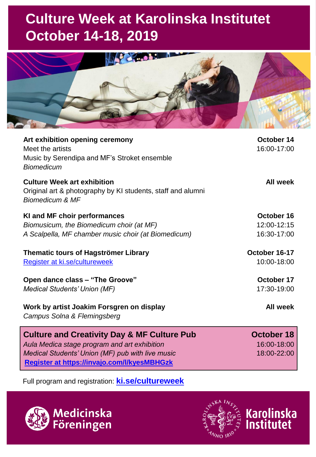## **Culture Week at Karolinska Institutet October 14-18, 2019**



| Art exhibition opening ceremony<br>Meet the artists<br>Music by Serendipa and MF's Stroket ensemble<br><b>Biomedicum</b>        | October 14<br>16:00-17:00    |
|---------------------------------------------------------------------------------------------------------------------------------|------------------------------|
| <b>Culture Week art exhibition</b><br>Original art & photography by KI students, staff and alumni<br><b>Biomedicum &amp; MF</b> | All week                     |
| KI and MF choir performances                                                                                                    | October 16                   |
| Biomusicum, the Biomedicum choir (at MF)                                                                                        | 12:00-12:15                  |
| A Scalpella, MF chamber music choir (at Biomedicum)                                                                             | 16:30-17:00                  |
| <b>Thematic tours of Hagströmer Library</b><br>Register at ki.se/cultureweek                                                    | October 16-17<br>10:00-18:00 |
| Open dance class - "The Groove"                                                                                                 | October 17                   |
| Medical Students' Union (MF)                                                                                                    | 17:30-19:00                  |
| Work by artist Joakim Forsgren on display<br>Campus Solna & Flemingsberg                                                        | All week                     |
| <b>Culture and Creativity Day &amp; MF Culture Pub</b>                                                                          | October 18                   |
| Aula Medica stage program and art exhibition                                                                                    | 16:00-18:00                  |

*Medical Students' Union (MF) pub with live music* **[Register at https://invajo.com/l/kyesMBHGzk](https://invajo.com/l/kyesMBHGzk)**

Full program and registration: **[ki.se/cultureweek](https://news.ki.se/cultureweek?_ga=2.168045604.404142385.1568626886-930216237.1533888592)**





18:00-22:00